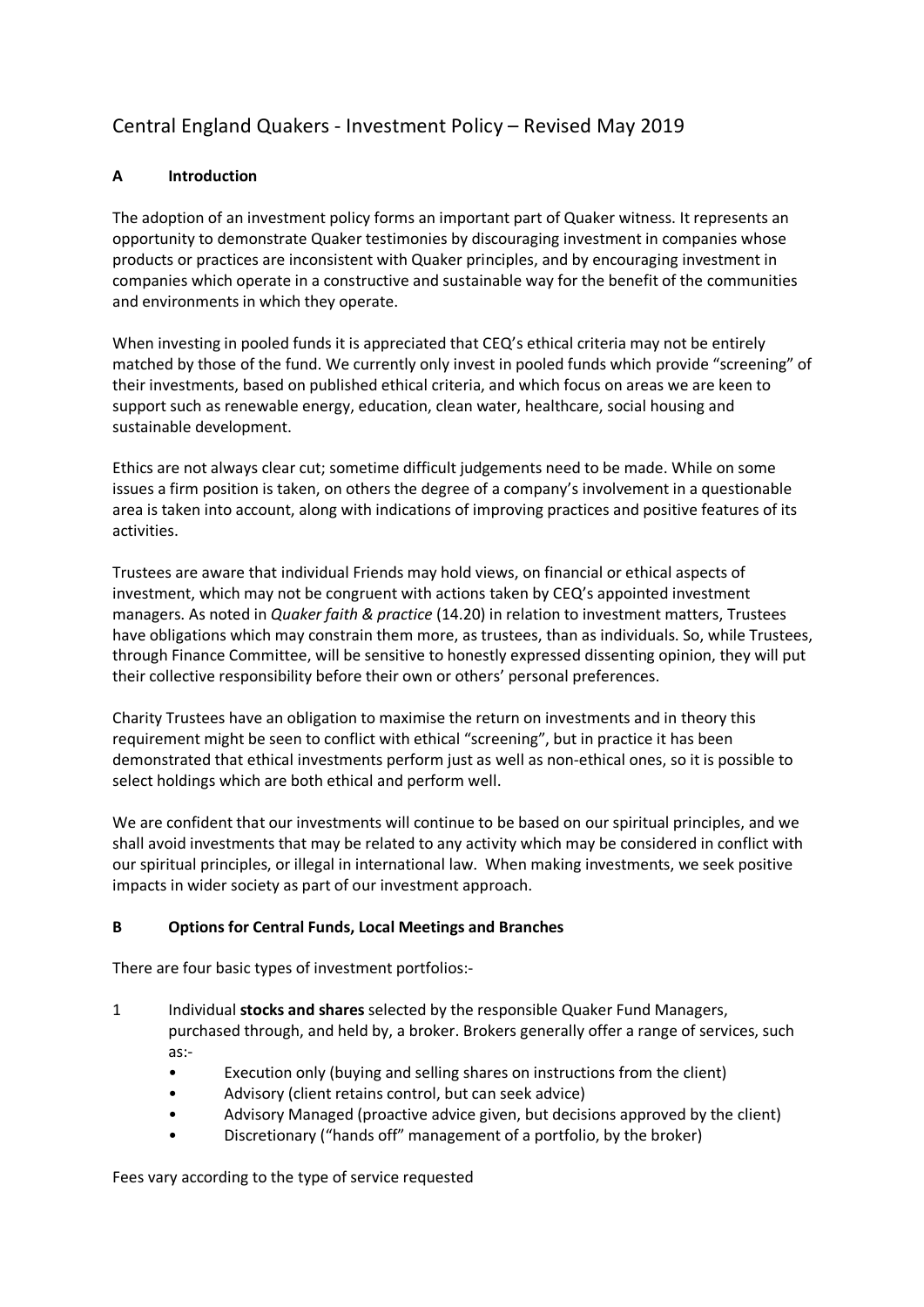# Central England Quakers - Investment Policy – Revised May 2019

## **A Introduction**

The adoption of an investment policy forms an important part of Quaker witness. It represents an opportunity to demonstrate Quaker testimonies by discouraging investment in companies whose products or practices are inconsistent with Quaker principles, and by encouraging investment in companies which operate in a constructive and sustainable way for the benefit of the communities and environments in which they operate.

When investing in pooled funds it is appreciated that CEQ's ethical criteria may not be entirely matched by those of the fund. We currently only invest in pooled funds which provide "screening" of their investments, based on published ethical criteria, and which focus on areas we are keen to support such as renewable energy, education, clean water, healthcare, social housing and sustainable development.

Ethics are not always clear cut; sometime difficult judgements need to be made. While on some issues a firm position is taken, on others the degree of a company's involvement in a questionable area is taken into account, along with indications of improving practices and positive features of its activities.

Trustees are aware that individual Friends may hold views, on financial or ethical aspects of investment, which may not be congruent with actions taken by CEQ's appointed investment managers. As noted in *Quaker faith & practice* (14.20) in relation to investment matters, Trustees have obligations which may constrain them more, as trustees, than as individuals. So, while Trustees, through Finance Committee, will be sensitive to honestly expressed dissenting opinion, they will put their collective responsibility before their own or others' personal preferences.

Charity Trustees have an obligation to maximise the return on investments and in theory this requirement might be seen to conflict with ethical "screening", but in practice it has been demonstrated that ethical investments perform just as well as non-ethical ones, so it is possible to select holdings which are both ethical and perform well.

We are confident that our investments will continue to be based on our spiritual principles, and we shall avoid investments that may be related to any activity which may be considered in conflict with our spiritual principles, or illegal in international law. When making investments, we seek positive impacts in wider society as part of our investment approach.

## **B Options for Central Funds, Local Meetings and Branches**

There are four basic types of investment portfolios:-

- 1 Individual **stocks and shares** selected by the responsible Quaker Fund Managers, purchased through, and held by, a broker. Brokers generally offer a range of services, such as:-
	- Execution only (buying and selling shares on instructions from the client)
	- Advisory (client retains control, but can seek advice)
	- Advisory Managed (proactive advice given, but decisions approved by the client)
	- Discretionary ("hands off" management of a portfolio, by the broker)

Fees vary according to the type of service requested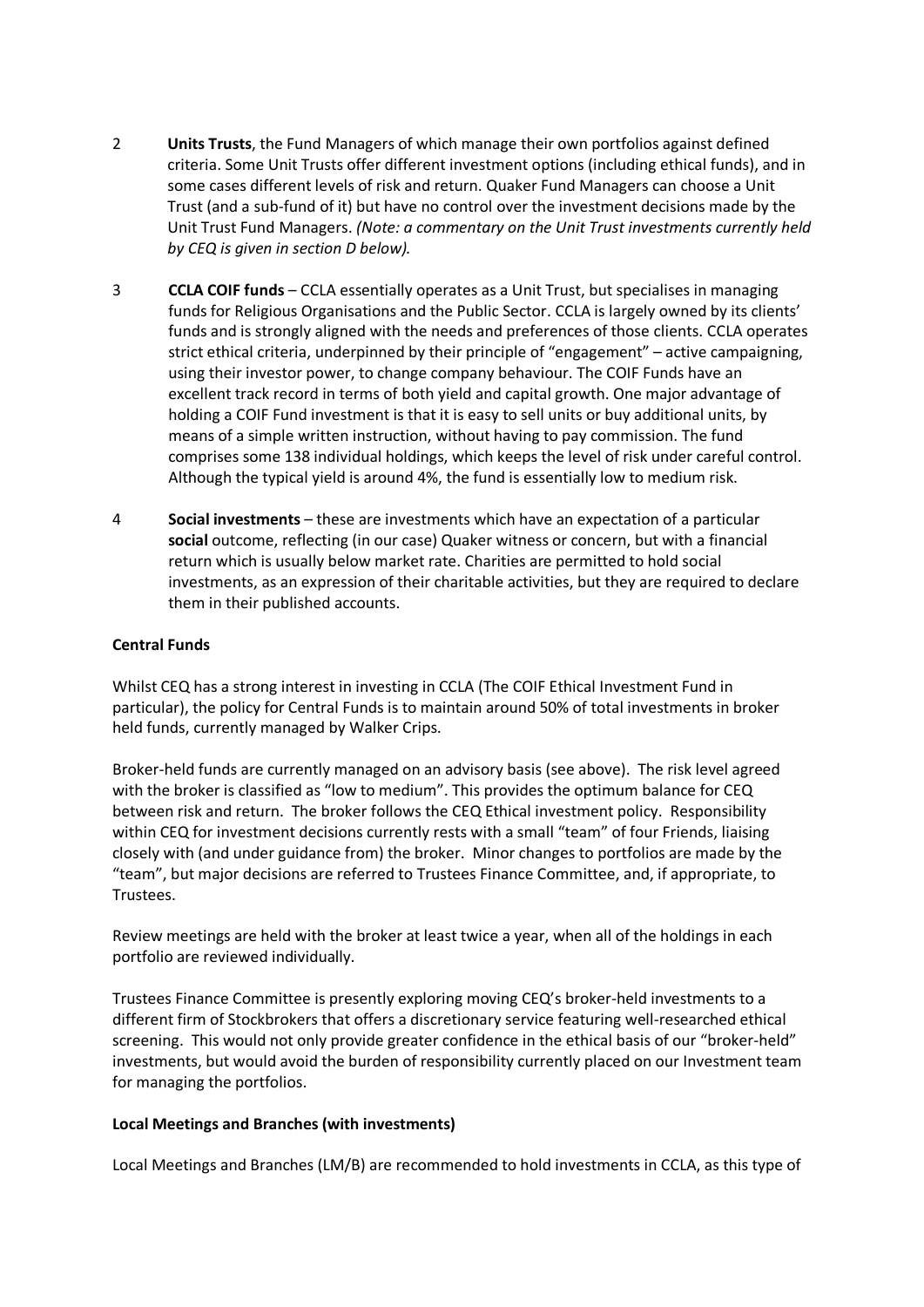- 2 **Units Trusts**, the Fund Managers of which manage their own portfolios against defined criteria. Some Unit Trusts offer different investment options (including ethical funds), and in some cases different levels of risk and return. Quaker Fund Managers can choose a Unit Trust (and a sub-fund of it) but have no control over the investment decisions made by the Unit Trust Fund Managers. *(Note: a commentary on the Unit Trust investments currently held by CEQ is given in section D below).*
- 3 **CCLA COIF funds**  CCLA essentially operates as a Unit Trust, but specialises in managing funds for Religious Organisations and the Public Sector. CCLA is largely owned by its clients' funds and is strongly aligned with the needs and preferences of those clients. CCLA operates strict ethical criteria, underpinned by their principle of "engagement" – active campaigning, using their investor power, to change company behaviour. The COIF Funds have an excellent track record in terms of both yield and capital growth. One major advantage of holding a COIF Fund investment is that it is easy to sell units or buy additional units, by means of a simple written instruction, without having to pay commission. The fund comprises some 138 individual holdings, which keeps the level of risk under careful control. Although the typical yield is around 4%, the fund is essentially low to medium risk.
- 4 **Social investments**  these are investments which have an expectation of a particular **social** outcome, reflecting (in our case) Quaker witness or concern, but with a financial return which is usually below market rate. Charities are permitted to hold social investments, as an expression of their charitable activities, but they are required to declare them in their published accounts.

#### **Central Funds**

Whilst CEQ has a strong interest in investing in CCLA (The COIF Ethical Investment Fund in particular), the policy for Central Funds is to maintain around 50% of total investments in broker held funds, currently managed by Walker Crips.

Broker-held funds are currently managed on an advisory basis (see above). The risk level agreed with the broker is classified as "low to medium". This provides the optimum balance for CEQ between risk and return. The broker follows the CEQ Ethical investment policy. Responsibility within CEQ for investment decisions currently rests with a small "team" of four Friends, liaising closely with (and under guidance from) the broker. Minor changes to portfolios are made by the "team", but major decisions are referred to Trustees Finance Committee, and, if appropriate, to Trustees.

Review meetings are held with the broker at least twice a year, when all of the holdings in each portfolio are reviewed individually.

Trustees Finance Committee is presently exploring moving CEQ's broker-held investments to a different firm of Stockbrokers that offers a discretionary service featuring well-researched ethical screening. This would not only provide greater confidence in the ethical basis of our "broker-held" investments, but would avoid the burden of responsibility currently placed on our Investment team for managing the portfolios.

#### **Local Meetings and Branches (with investments)**

Local Meetings and Branches (LM/B) are recommended to hold investments in CCLA, as this type of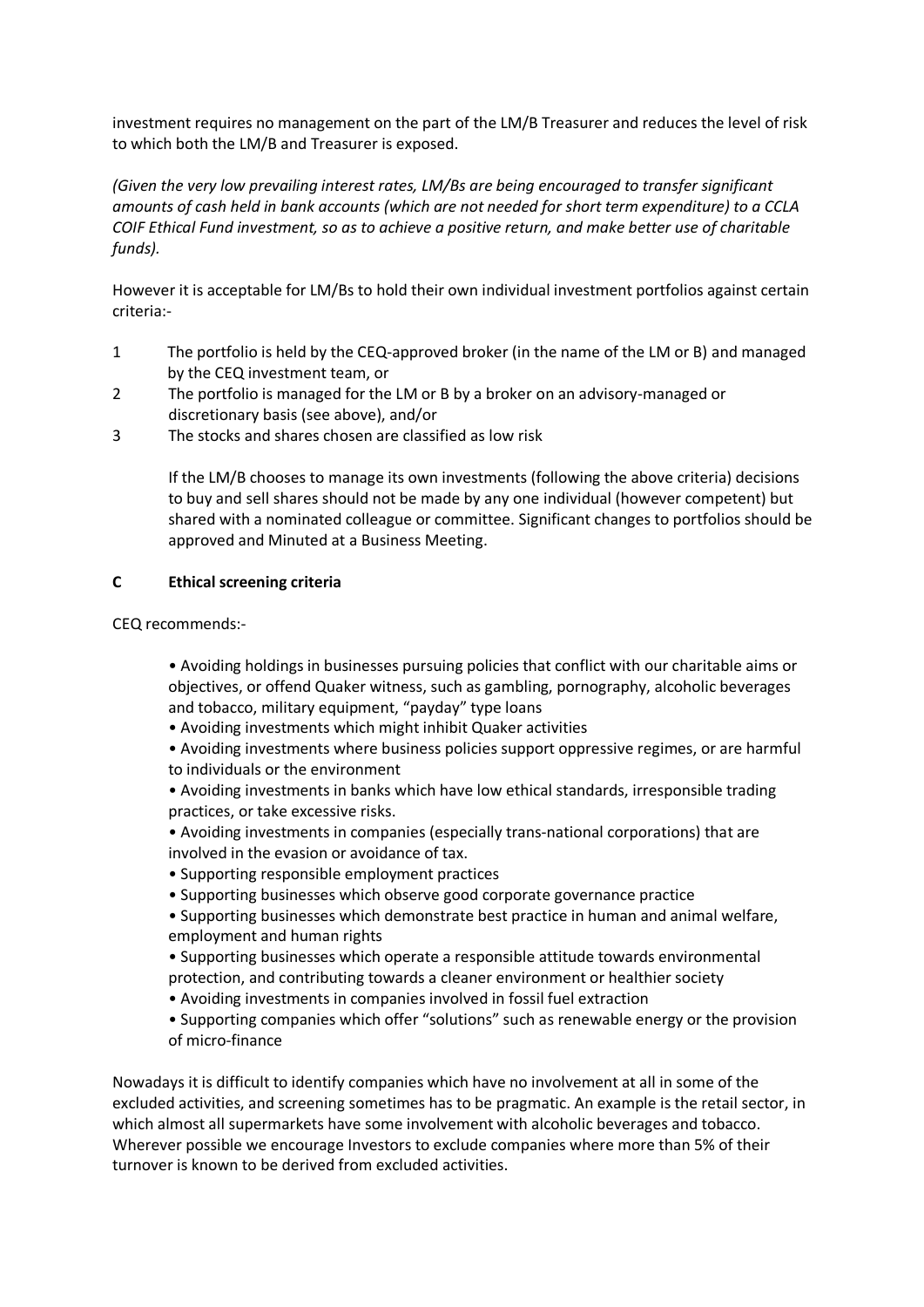investment requires no management on the part of the LM/B Treasurer and reduces the level of risk to which both the LM/B and Treasurer is exposed.

*(Given the very low prevailing interest rates, LM/Bs are being encouraged to transfer significant amounts of cash held in bank accounts (which are not needed for short term expenditure) to a CCLA COIF Ethical Fund investment, so as to achieve a positive return, and make better use of charitable funds).*

However it is acceptable for LM/Bs to hold their own individual investment portfolios against certain criteria:-

- 1 The portfolio is held by the CEQ-approved broker (in the name of the LM or B) and managed by the CEQ investment team, or
- 2 The portfolio is managed for the LM or B by a broker on an advisory-managed or discretionary basis (see above), and/or
- 3 The stocks and shares chosen are classified as low risk

If the LM/B chooses to manage its own investments (following the above criteria) decisions to buy and sell shares should not be made by any one individual (however competent) but shared with a nominated colleague or committee. Significant changes to portfolios should be approved and Minuted at a Business Meeting.

#### **C Ethical screening criteria**

CEQ recommends:-

• Avoiding holdings in businesses pursuing policies that conflict with our charitable aims or objectives, or offend Quaker witness, such as gambling, pornography, alcoholic beverages and tobacco, military equipment, "payday" type loans

• Avoiding investments which might inhibit Quaker activities

• Avoiding investments where business policies support oppressive regimes, or are harmful to individuals or the environment

- Avoiding investments in banks which have low ethical standards, irresponsible trading practices, or take excessive risks.
- Avoiding investments in companies (especially trans-national corporations) that are involved in the evasion or avoidance of tax.
- Supporting responsible employment practices
- Supporting businesses which observe good corporate governance practice

• Supporting businesses which demonstrate best practice in human and animal welfare, employment and human rights

- Supporting businesses which operate a responsible attitude towards environmental
- protection, and contributing towards a cleaner environment or healthier society
- Avoiding investments in companies involved in fossil fuel extraction

• Supporting companies which offer "solutions" such as renewable energy or the provision of micro-finance

Nowadays it is difficult to identify companies which have no involvement at all in some of the excluded activities, and screening sometimes has to be pragmatic. An example is the retail sector, in which almost all supermarkets have some involvement with alcoholic beverages and tobacco. Wherever possible we encourage Investors to exclude companies where more than 5% of their turnover is known to be derived from excluded activities.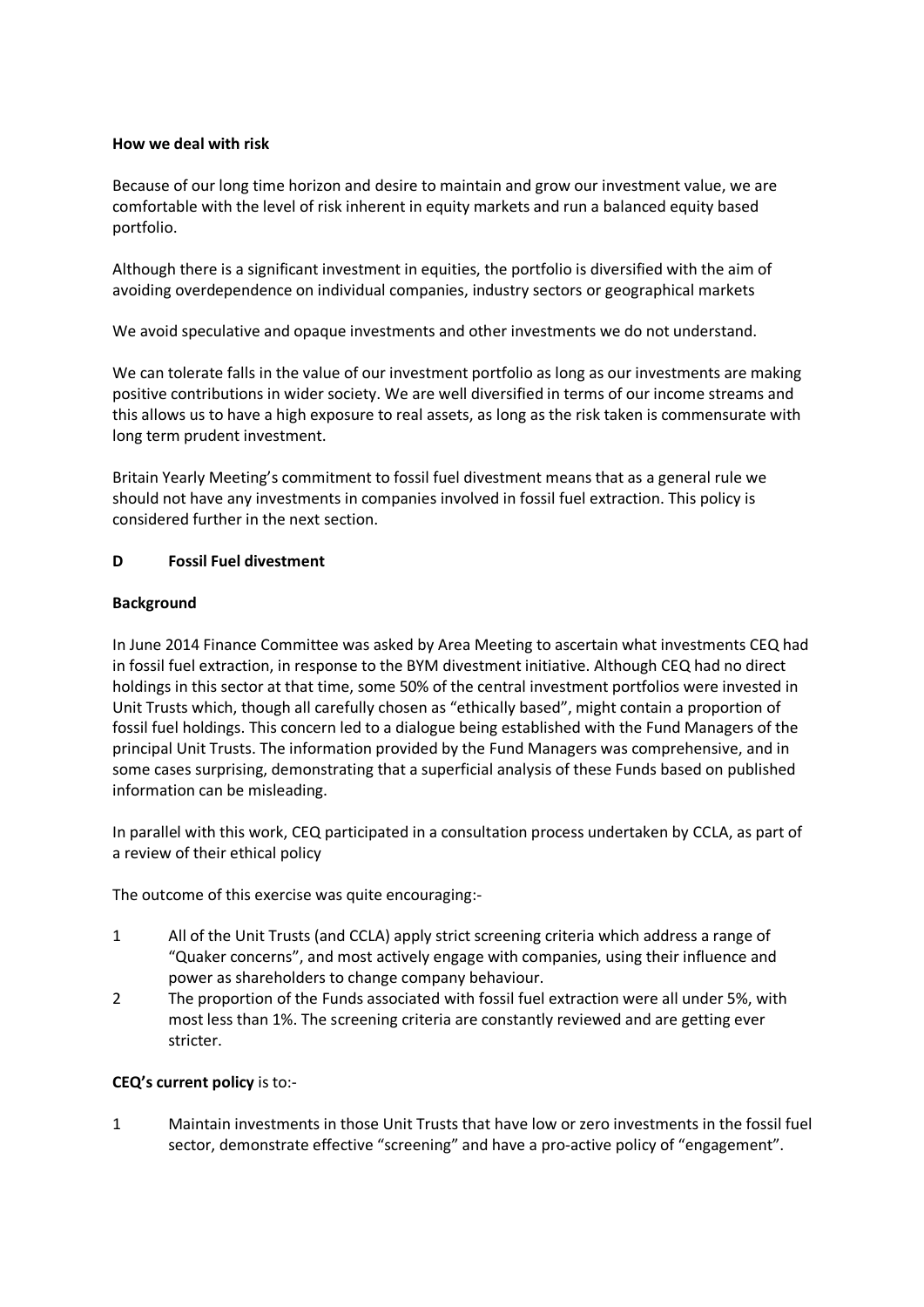#### **How we deal with risk**

Because of our long time horizon and desire to maintain and grow our investment value, we are comfortable with the level of risk inherent in equity markets and run a balanced equity based portfolio.

Although there is a significant investment in equities, the portfolio is diversified with the aim of avoiding overdependence on individual companies, industry sectors or geographical markets

We avoid speculative and opaque investments and other investments we do not understand.

We can tolerate falls in the value of our investment portfolio as long as our investments are making positive contributions in wider society. We are well diversified in terms of our income streams and this allows us to have a high exposure to real assets, as long as the risk taken is commensurate with long term prudent investment.

Britain Yearly Meeting's commitment to fossil fuel divestment means that as a general rule we should not have any investments in companies involved in fossil fuel extraction. This policy is considered further in the next section.

#### **D Fossil Fuel divestment**

#### **Background**

In June 2014 Finance Committee was asked by Area Meeting to ascertain what investments CEQ had in fossil fuel extraction, in response to the BYM divestment initiative. Although CEQ had no direct holdings in this sector at that time, some 50% of the central investment portfolios were invested in Unit Trusts which, though all carefully chosen as "ethically based", might contain a proportion of fossil fuel holdings. This concern led to a dialogue being established with the Fund Managers of the principal Unit Trusts. The information provided by the Fund Managers was comprehensive, and in some cases surprising, demonstrating that a superficial analysis of these Funds based on published information can be misleading.

In parallel with this work, CEQ participated in a consultation process undertaken by CCLA, as part of a review of their ethical policy

The outcome of this exercise was quite encouraging:-

- 1 All of the Unit Trusts (and CCLA) apply strict screening criteria which address a range of "Quaker concerns", and most actively engage with companies, using their influence and power as shareholders to change company behaviour.
- 2 The proportion of the Funds associated with fossil fuel extraction were all under 5%, with most less than 1%. The screening criteria are constantly reviewed and are getting ever stricter.

#### **CEQ's current policy** is to:-

1 Maintain investments in those Unit Trusts that have low or zero investments in the fossil fuel sector, demonstrate effective "screening" and have a pro-active policy of "engagement".